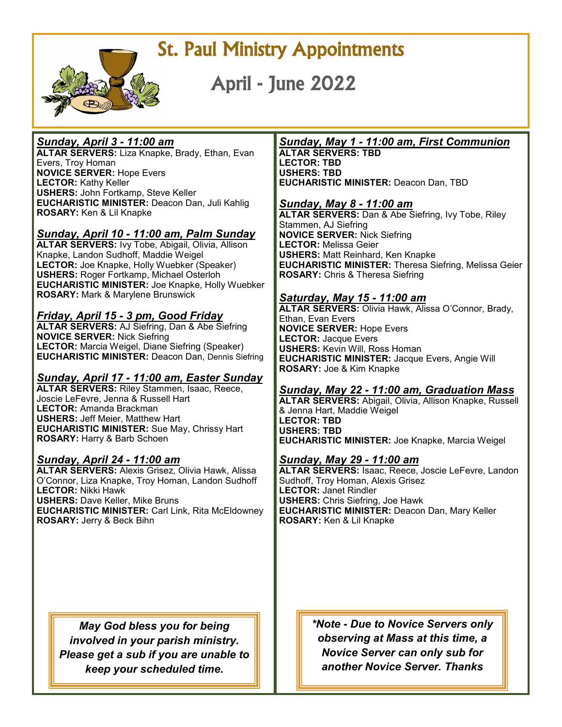

St. Paul Ministry Appointments

April - June 2022

#### *Sunday, April 3 - 11:00 am*

**ALTAR SERVERS:** Liza Knapke, Brady, Ethan, Evan Evers, Troy Homan **NOVICE SERVER:** Hope Evers **LECTOR:** Kathy Keller **USHERS:** John Fortkamp, Steve Keller **EUCHARISTIC MINISTER:** Deacon Dan, Juli Kahlig **ROSARY:** Ken & Lil Knapke

# *Sunday, April 10 - 11:00 am, Palm Sunday*

**ALTAR SERVERS:** Ivy Tobe, Abigail, Olivia, Allison Knapke, Landon Sudhoff, Maddie Weigel **LECTOR:** Joe Knapke, Holly Wuebker (Speaker) **USHERS:** Roger Fortkamp, Michael Osterloh **EUCHARISTIC MINISTER:** Joe Knapke, Holly Wuebker **ROSARY:** Mark & Marylene Brunswick

# *Friday, April 15 - 3 pm, Good Friday*

**ALTAR SERVERS:** AJ Siefring, Dan & Abe Siefring **NOVICE SERVER:** Nick Siefring **LECTOR:** Marcia Weigel, Diane Siefring (Speaker) **EUCHARISTIC MINISTER:** Deacon Dan, Dennis Siefring

# *Sunday, April 17 - 11:00 am, Easter Sunday*

**ALTAR SERVERS:** Riley Stammen, Isaac, Reece, Joscie LeFevre, Jenna & Russell Hart **LECTOR:** Amanda Brackman **USHERS:** Jeff Meier, Matthew Hart **EUCHARISTIC MINISTER:** Sue May, Chrissy Hart **ROSARY:** Harry & Barb Schoen

# *Sunday, April 24 - 11:00 am*

**ALTAR SERVERS:** Alexis Grisez, Olivia Hawk, Alissa O'Connor, Liza Knapke, Troy Homan, Landon Sudhoff **LECTOR:** Nikki Hawk **USHERS:** Dave Keller, Mike Bruns **EUCHARISTIC MINISTER:** Carl Link, Rita McEldowney **ROSARY:** Jerry & Beck Bihn

> *May God bless you for being involved in your parish ministry. Please get a sub if you are unable to keep your scheduled time.*

# *Sunday, May 1 - 11:00 am, First Communion*

**ALTAR SERVERS: TBD LECTOR: TBD USHERS: TBD EUCHARISTIC MINISTER:** Deacon Dan, TBD

#### *Sunday, May 8 - 11:00 am*

**ALTAR SERVERS:** Dan & Abe Siefring, Ivy Tobe, Riley Stammen, AJ Siefring **NOVICE SERVER:** Nick Siefring **LECTOR:** Melissa Geier **USHERS:** Matt Reinhard, Ken Knapke **EUCHARISTIC MINISTER:** Theresa Siefring, Melissa Geier **ROSARY:** Chris & Theresa Siefring

#### *Saturday, May 15 - 11:00 am*

**ALTAR SERVERS:** Olivia Hawk, Alissa O'Connor, Brady, Ethan, Evan Evers **NOVICE SERVER:** Hope Evers **LECTOR:** Jacque Evers **USHERS:** Kevin Will, Ross Homan **EUCHARISTIC MINISTER:** Jacque Evers, Angie Will **ROSARY:** Joe & Kim Knapke

#### *Sunday, May 22 - 11:00 am, Graduation Mass*

**ALTAR SERVERS:** Abigail, Olivia, Allison Knapke, Russell & Jenna Hart, Maddie Weigel **LECTOR: TBD USHERS: TBD EUCHARISTIC MINISTER:** Joe Knapke, Marcia Weigel

# *Sunday, May 29 - 11:00 am*

**ALTAR SERVERS:** Isaac, Reece, Joscie LeFevre, Landon Sudhoff, Troy Homan, Alexis Grisez **LECTOR:** Janet Rindler **USHERS:** Chris Siefring, Joe Hawk **EUCHARISTIC MINISTER:** Deacon Dan, Mary Keller **ROSARY:** Ken & Lil Knapke

> *\*Note - Due to Novice Servers only observing at Mass at this time, a Novice Server can only sub for another Novice Server. Thanks*